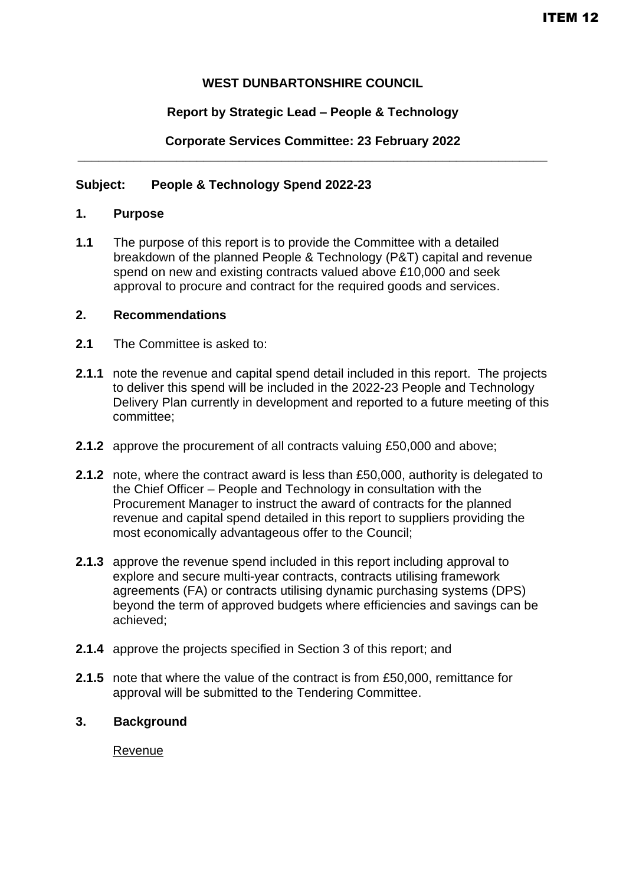## **WEST DUNBARTONSHIRE COUNCIL**

## **Report by Strategic Lead – People & Technology**

### **Corporate Services Committee: 23 February 2022 \_\_\_\_\_\_\_\_\_\_\_\_\_\_\_\_\_\_\_\_\_\_\_\_\_\_\_\_\_\_\_\_\_\_\_\_\_\_\_\_\_\_\_\_\_\_\_\_\_\_\_\_\_\_\_\_\_\_\_\_\_\_\_\_\_\_\_**

## **Subject: People & Technology Spend 2022-23**

### **1. Purpose**

**1.1** The purpose of this report is to provide the Committee with a detailed breakdown of the planned People & Technology (P&T) capital and revenue spend on new and existing contracts valued above £10,000 and seek approval to procure and contract for the required goods and services.

### **2. Recommendations**

- **2.1** The Committee is asked to:
- **2.1.1** note the revenue and capital spend detail included in this report. The projects to deliver this spend will be included in the 2022-23 People and Technology Delivery Plan currently in development and reported to a future meeting of this committee;
- **2.1.2** approve the procurement of all contracts valuing £50,000 and above;
- **2.1.2** note, where the contract award is less than £50,000, authority is delegated to the Chief Officer – People and Technology in consultation with the Procurement Manager to instruct the award of contracts for the planned revenue and capital spend detailed in this report to suppliers providing the most economically advantageous offer to the Council;
- **2.1.3** approve the revenue spend included in this report including approval to explore and secure multi-year contracts, contracts utilising framework agreements (FA) or contracts utilising dynamic purchasing systems (DPS) beyond the term of approved budgets where efficiencies and savings can be achieved;
- **2.1.4** approve the projects specified in Section 3 of this report; and
- **2.1.5** note that where the value of the contract is from £50,000, remittance for approval will be submitted to the Tendering Committee.

### **3. Background**

Revenue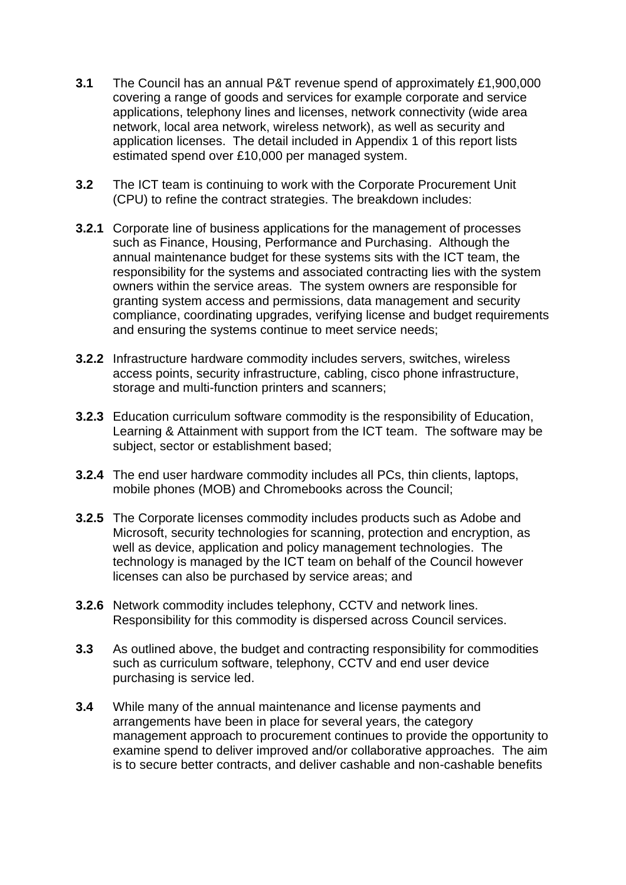- **3.1** The Council has an annual P&T revenue spend of approximately £1,900,000 covering a range of goods and services for example corporate and service applications, telephony lines and licenses, network connectivity (wide area network, local area network, wireless network), as well as security and application licenses. The detail included in Appendix 1 of this report lists estimated spend over £10,000 per managed system.
- **3.2** The ICT team is continuing to work with the Corporate Procurement Unit (CPU) to refine the contract strategies. The breakdown includes:
- **3.2.1** Corporate line of business applications for the management of processes such as Finance, Housing, Performance and Purchasing. Although the annual maintenance budget for these systems sits with the ICT team, the responsibility for the systems and associated contracting lies with the system owners within the service areas. The system owners are responsible for granting system access and permissions, data management and security compliance, coordinating upgrades, verifying license and budget requirements and ensuring the systems continue to meet service needs;
- **3.2.2** Infrastructure hardware commodity includes servers, switches, wireless access points, security infrastructure, cabling, cisco phone infrastructure, storage and multi-function printers and scanners;
- **3.2.3** Education curriculum software commodity is the responsibility of Education, Learning & Attainment with support from the ICT team. The software may be subject, sector or establishment based;
- **3.2.4** The end user hardware commodity includes all PCs, thin clients, laptops, mobile phones (MOB) and Chromebooks across the Council;
- **3.2.5** The Corporate licenses commodity includes products such as Adobe and Microsoft, security technologies for scanning, protection and encryption, as well as device, application and policy management technologies. The technology is managed by the ICT team on behalf of the Council however licenses can also be purchased by service areas; and
- **3.2.6** Network commodity includes telephony, CCTV and network lines. Responsibility for this commodity is dispersed across Council services.
- **3.3** As outlined above, the budget and contracting responsibility for commodities such as curriculum software, telephony, CCTV and end user device purchasing is service led.
- **3.4** While many of the annual maintenance and license payments and arrangements have been in place for several years, the category management approach to procurement continues to provide the opportunity to examine spend to deliver improved and/or collaborative approaches. The aim is to secure better contracts, and deliver cashable and non-cashable benefits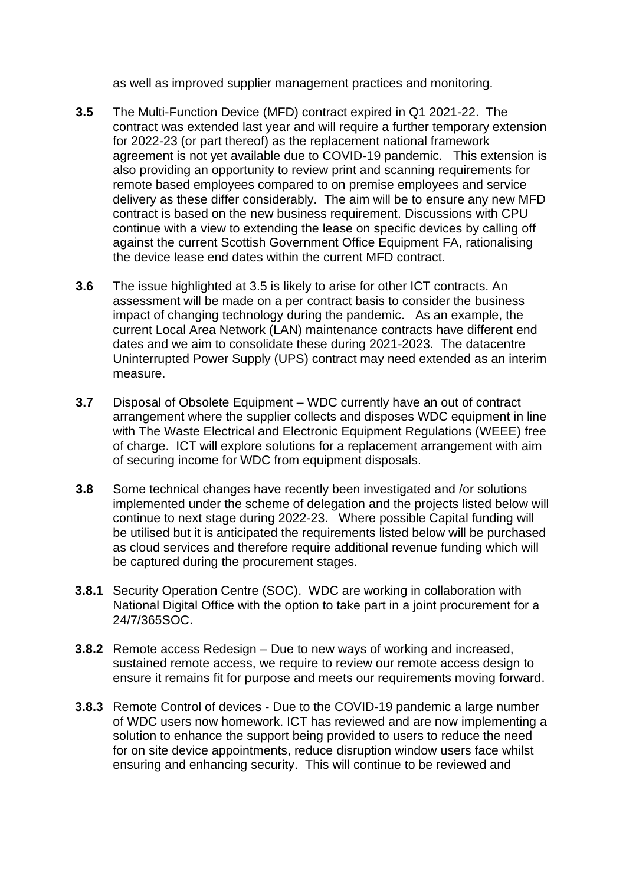as well as improved supplier management practices and monitoring.

- **3.5** The Multi-Function Device (MFD) contract expired in Q1 2021-22. The contract was extended last year and will require a further temporary extension for 2022-23 (or part thereof) as the replacement national framework agreement is not yet available due to COVID-19 pandemic. This extension is also providing an opportunity to review print and scanning requirements for remote based employees compared to on premise employees and service delivery as these differ considerably. The aim will be to ensure any new MFD contract is based on the new business requirement. Discussions with CPU continue with a view to extending the lease on specific devices by calling off against the current Scottish Government Office Equipment FA, rationalising the device lease end dates within the current MFD contract.
- **3.6** The issue highlighted at 3.5 is likely to arise for other ICT contracts. An assessment will be made on a per contract basis to consider the business impact of changing technology during the pandemic. As an example, the current Local Area Network (LAN) maintenance contracts have different end dates and we aim to consolidate these during 2021-2023. The datacentre Uninterrupted Power Supply (UPS) contract may need extended as an interim measure.
- **3.7** Disposal of Obsolete Equipment WDC currently have an out of contract arrangement where the supplier collects and disposes WDC equipment in line with The Waste Electrical and Electronic Equipment Regulations (WEEE) free of charge. ICT will explore solutions for a replacement arrangement with aim of securing income for WDC from equipment disposals.
- **3.8** Some technical changes have recently been investigated and /or solutions implemented under the scheme of delegation and the projects listed below will continue to next stage during 2022-23. Where possible Capital funding will be utilised but it is anticipated the requirements listed below will be purchased as cloud services and therefore require additional revenue funding which will be captured during the procurement stages.
- **3.8.1** Security Operation Centre (SOC). WDC are working in collaboration with National Digital Office with the option to take part in a joint procurement for a 24/7/365SOC.
- **3.8.2** Remote access Redesign Due to new ways of working and increased, sustained remote access, we require to review our remote access design to ensure it remains fit for purpose and meets our requirements moving forward.
- **3.8.3** Remote Control of devices Due to the COVID-19 pandemic a large number of WDC users now homework. ICT has reviewed and are now implementing a solution to enhance the support being provided to users to reduce the need for on site device appointments, reduce disruption window users face whilst ensuring and enhancing security. This will continue to be reviewed and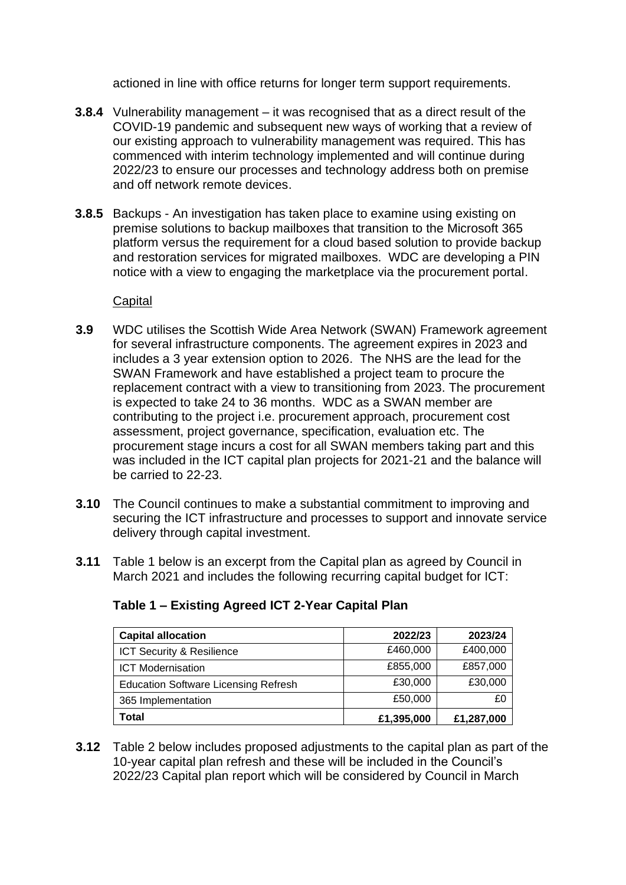actioned in line with office returns for longer term support requirements.

- **3.8.4** Vulnerability management it was recognised that as a direct result of the COVID-19 pandemic and subsequent new ways of working that a review of our existing approach to vulnerability management was required. This has commenced with interim technology implemented and will continue during 2022/23 to ensure our processes and technology address both on premise and off network remote devices.
- **3.8.5** Backups An investigation has taken place to examine using existing on premise solutions to backup mailboxes that transition to the Microsoft 365 platform versus the requirement for a cloud based solution to provide backup and restoration services for migrated mailboxes. WDC are developing a PIN notice with a view to engaging the marketplace via the procurement portal.

# **Capital**

- **3.9** WDC utilises the Scottish Wide Area Network (SWAN) Framework agreement for several infrastructure components. The agreement expires in 2023 and includes a 3 year extension option to 2026. The NHS are the lead for the SWAN Framework and have established a project team to procure the replacement contract with a view to transitioning from 2023. The procurement is expected to take 24 to 36 months. WDC as a SWAN member are contributing to the project i.e. procurement approach, procurement cost assessment, project governance, specification, evaluation etc. The procurement stage incurs a cost for all SWAN members taking part and this was included in the ICT capital plan projects for 2021-21 and the balance will be carried to 22-23.
- **3.10** The Council continues to make a substantial commitment to improving and securing the ICT infrastructure and processes to support and innovate service delivery through capital investment.
- **3.11** Table 1 below is an excerpt from the Capital plan as agreed by Council in March 2021 and includes the following recurring capital budget for ICT:

| <b>Capital allocation</b>                   | 2022/23    | 2023/24    |
|---------------------------------------------|------------|------------|
| ICT Security & Resilience                   | £460,000   | £400,000   |
| <b>ICT Modernisation</b>                    | £855,000   | £857,000   |
| <b>Education Software Licensing Refresh</b> | £30,000    | £30,000    |
| 365 Implementation                          | £50,000    | £0         |
| Total                                       | £1,395,000 | £1,287,000 |

# **Table 1 – Existing Agreed ICT 2-Year Capital Plan**

**3.12** Table 2 below includes proposed adjustments to the capital plan as part of the 10-year capital plan refresh and these will be included in the Council's 2022/23 Capital plan report which will be considered by Council in March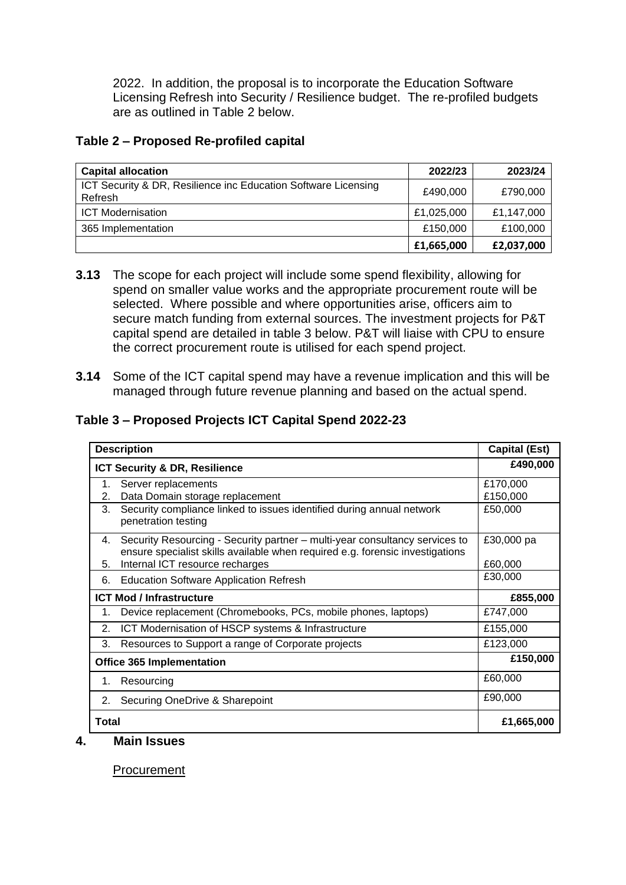2022. In addition, the proposal is to incorporate the Education Software Licensing Refresh into Security / Resilience budget. The re-profiled budgets are as outlined in Table 2 below.

## **Table 2 – Proposed Re-profiled capital**

| <b>Capital allocation</b>                                                 | 2022/23    | 2023/24    |
|---------------------------------------------------------------------------|------------|------------|
| ICT Security & DR, Resilience inc Education Software Licensing<br>Refresh | £490,000   | £790,000   |
| <b>ICT Modernisation</b>                                                  | £1,025,000 | £1,147,000 |
| 365 Implementation                                                        | £150,000   | £100,000   |
|                                                                           | £1,665,000 | £2,037,000 |

- **3.13** The scope for each project will include some spend flexibility, allowing for spend on smaller value works and the appropriate procurement route will be selected. Where possible and where opportunities arise, officers aim to secure match funding from external sources. The investment projects for P&T capital spend are detailed in table 3 below. P&T will liaise with CPU to ensure the correct procurement route is utilised for each spend project.
- **3.14** Some of the ICT capital spend may have a revenue implication and this will be managed through future revenue planning and based on the actual spend.

# **Table 3 – Proposed Projects ICT Capital Spend 2022-23**

| <b>Description</b>               |                                                                                                                                                              | <b>Capital (Est)</b> |
|----------------------------------|--------------------------------------------------------------------------------------------------------------------------------------------------------------|----------------------|
| ICT Security & DR, Resilience    |                                                                                                                                                              | £490,000             |
| 1.                               | Server replacements                                                                                                                                          | £170,000             |
| 2.                               | Data Domain storage replacement                                                                                                                              | £150,000             |
| 3.                               | Security compliance linked to issues identified during annual network<br>penetration testing                                                                 | £50,000              |
| 4.                               | Security Resourcing - Security partner - multi-year consultancy services to<br>ensure specialist skills available when required e.g. forensic investigations | £30,000 pa           |
| 5.                               | Internal ICT resource recharges                                                                                                                              | £60,000              |
| 6.                               | <b>Education Software Application Refresh</b>                                                                                                                | £30,000              |
| <b>ICT Mod / Infrastructure</b>  |                                                                                                                                                              | £855,000             |
| 1.                               | Device replacement (Chromebooks, PCs, mobile phones, laptops)                                                                                                | £747,000             |
| 2.                               | ICT Modernisation of HSCP systems & Infrastructure                                                                                                           | £155,000             |
| 3.                               | Resources to Support a range of Corporate projects                                                                                                           | £123,000             |
| <b>Office 365 Implementation</b> |                                                                                                                                                              | £150,000             |
| 1.                               | Resourcing                                                                                                                                                   | £60,000              |
| 2.                               | Securing OneDrive & Sharepoint                                                                                                                               | £90,000              |
| Total                            |                                                                                                                                                              | £1,665,000           |

**4. Main Issues**

**Procurement**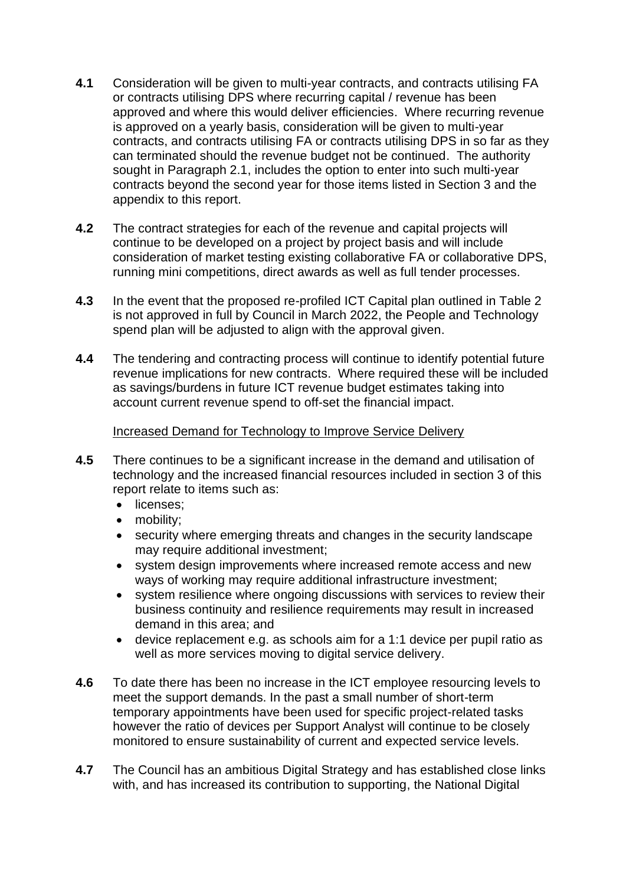- **4.1** Consideration will be given to multi-year contracts, and contracts utilising FA or contracts utilising DPS where recurring capital / revenue has been approved and where this would deliver efficiencies. Where recurring revenue is approved on a yearly basis, consideration will be given to multi-year contracts, and contracts utilising FA or contracts utilising DPS in so far as they can terminated should the revenue budget not be continued. The authority sought in Paragraph 2.1, includes the option to enter into such multi-year contracts beyond the second year for those items listed in Section 3 and the appendix to this report.
- **4.2** The contract strategies for each of the revenue and capital projects will continue to be developed on a project by project basis and will include consideration of market testing existing collaborative FA or collaborative DPS, running mini competitions, direct awards as well as full tender processes.
- **4.3** In the event that the proposed re-profiled ICT Capital plan outlined in Table 2 is not approved in full by Council in March 2022, the People and Technology spend plan will be adjusted to align with the approval given.
- **4.4** The tendering and contracting process will continue to identify potential future revenue implications for new contracts. Where required these will be included as savings/burdens in future ICT revenue budget estimates taking into account current revenue spend to off-set the financial impact.

### Increased Demand for Technology to Improve Service Delivery

- **4.5** There continues to be a significant increase in the demand and utilisation of technology and the increased financial resources included in section 3 of this report relate to items such as:
	- licenses:
	- mobility;
	- security where emerging threats and changes in the security landscape may require additional investment;
	- system design improvements where increased remote access and new ways of working may require additional infrastructure investment;
	- system resilience where ongoing discussions with services to review their business continuity and resilience requirements may result in increased demand in this area; and
	- device replacement e.g. as schools aim for a 1:1 device per pupil ratio as well as more services moving to digital service delivery.
- **4.6** To date there has been no increase in the ICT employee resourcing levels to meet the support demands. In the past a small number of short-term temporary appointments have been used for specific project-related tasks however the ratio of devices per Support Analyst will continue to be closely monitored to ensure sustainability of current and expected service levels.
- **4.7** The Council has an ambitious Digital Strategy and has established close links with, and has increased its contribution to supporting, the National Digital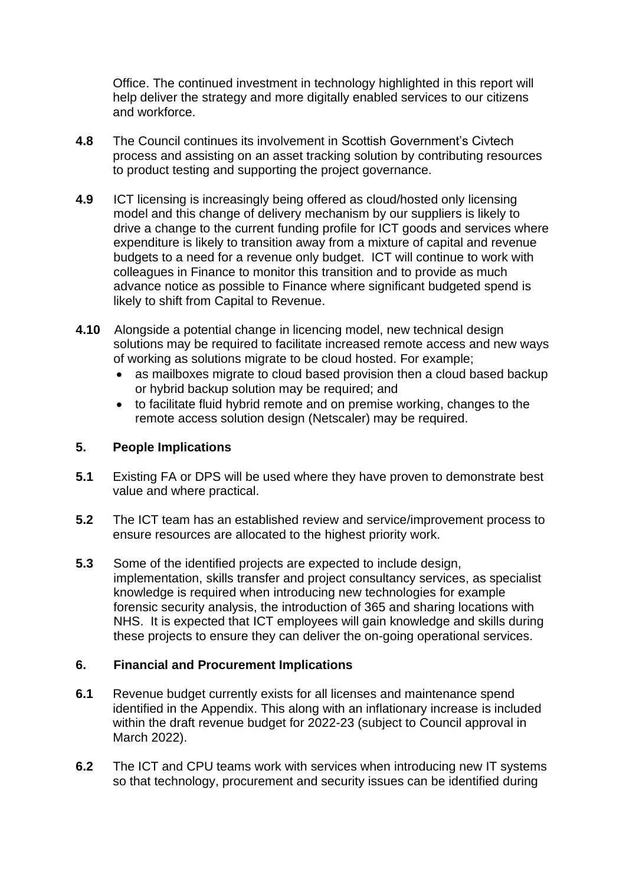Office. The continued investment in technology highlighted in this report will help deliver the strategy and more digitally enabled services to our citizens and workforce.

- **4.8** The Council continues its involvement in Scottish Government's Civtech process and assisting on an asset tracking solution by contributing resources to product testing and supporting the project governance.
- **4.9** ICT licensing is increasingly being offered as cloud/hosted only licensing model and this change of delivery mechanism by our suppliers is likely to drive a change to the current funding profile for ICT goods and services where expenditure is likely to transition away from a mixture of capital and revenue budgets to a need for a revenue only budget. ICT will continue to work with colleagues in Finance to monitor this transition and to provide as much advance notice as possible to Finance where significant budgeted spend is likely to shift from Capital to Revenue.
- **4.10** Alongside a potential change in licencing model, new technical design solutions may be required to facilitate increased remote access and new ways of working as solutions migrate to be cloud hosted. For example;
	- as mailboxes migrate to cloud based provision then a cloud based backup or hybrid backup solution may be required; and
	- to facilitate fluid hybrid remote and on premise working, changes to the remote access solution design (Netscaler) may be required.

## **5. People Implications**

- **5.1** Existing FA or DPS will be used where they have proven to demonstrate best value and where practical.
- **5.2** The ICT team has an established review and service/improvement process to ensure resources are allocated to the highest priority work.
- **5.3** Some of the identified projects are expected to include design, implementation, skills transfer and project consultancy services, as specialist knowledge is required when introducing new technologies for example forensic security analysis, the introduction of 365 and sharing locations with NHS. It is expected that ICT employees will gain knowledge and skills during these projects to ensure they can deliver the on-going operational services.

### **6. Financial and Procurement Implications**

- **6.1** Revenue budget currently exists for all licenses and maintenance spend identified in the Appendix. This along with an inflationary increase is included within the draft revenue budget for 2022-23 (subject to Council approval in March 2022).
- **6.2** The ICT and CPU teams work with services when introducing new IT systems so that technology, procurement and security issues can be identified during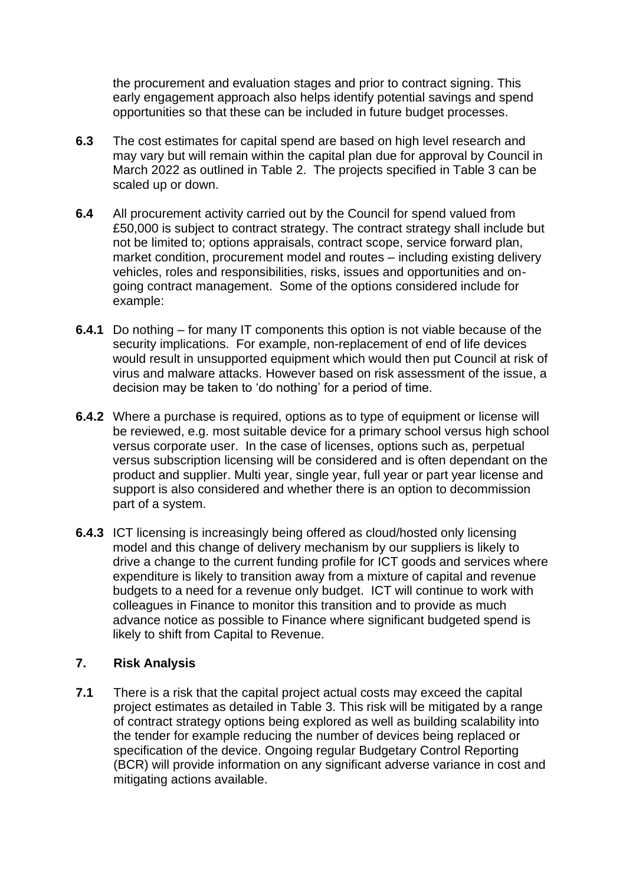the procurement and evaluation stages and prior to contract signing. This early engagement approach also helps identify potential savings and spend opportunities so that these can be included in future budget processes.

- **6.3** The cost estimates for capital spend are based on high level research and may vary but will remain within the capital plan due for approval by Council in March 2022 as outlined in Table 2. The projects specified in Table 3 can be scaled up or down.
- **6.4** All procurement activity carried out by the Council for spend valued from £50,000 is subject to contract strategy. The contract strategy shall include but not be limited to; options appraisals, contract scope, service forward plan, market condition, procurement model and routes – including existing delivery vehicles, roles and responsibilities, risks, issues and opportunities and ongoing contract management. Some of the options considered include for example:
- **6.4.1** Do nothing for many IT components this option is not viable because of the security implications. For example, non-replacement of end of life devices would result in unsupported equipment which would then put Council at risk of virus and malware attacks. However based on risk assessment of the issue, a decision may be taken to 'do nothing' for a period of time.
- **6.4.2** Where a purchase is required, options as to type of equipment or license will be reviewed, e.g. most suitable device for a primary school versus high school versus corporate user. In the case of licenses, options such as, perpetual versus subscription licensing will be considered and is often dependant on the product and supplier. Multi year, single year, full year or part year license and support is also considered and whether there is an option to decommission part of a system.
- **6.4.3** ICT licensing is increasingly being offered as cloud/hosted only licensing model and this change of delivery mechanism by our suppliers is likely to drive a change to the current funding profile for ICT goods and services where expenditure is likely to transition away from a mixture of capital and revenue budgets to a need for a revenue only budget. ICT will continue to work with colleagues in Finance to monitor this transition and to provide as much advance notice as possible to Finance where significant budgeted spend is likely to shift from Capital to Revenue.

### **7. Risk Analysis**

**7.1** There is a risk that the capital project actual costs may exceed the capital project estimates as detailed in Table 3. This risk will be mitigated by a range of contract strategy options being explored as well as building scalability into the tender for example reducing the number of devices being replaced or specification of the device. Ongoing regular Budgetary Control Reporting (BCR) will provide information on any significant adverse variance in cost and mitigating actions available.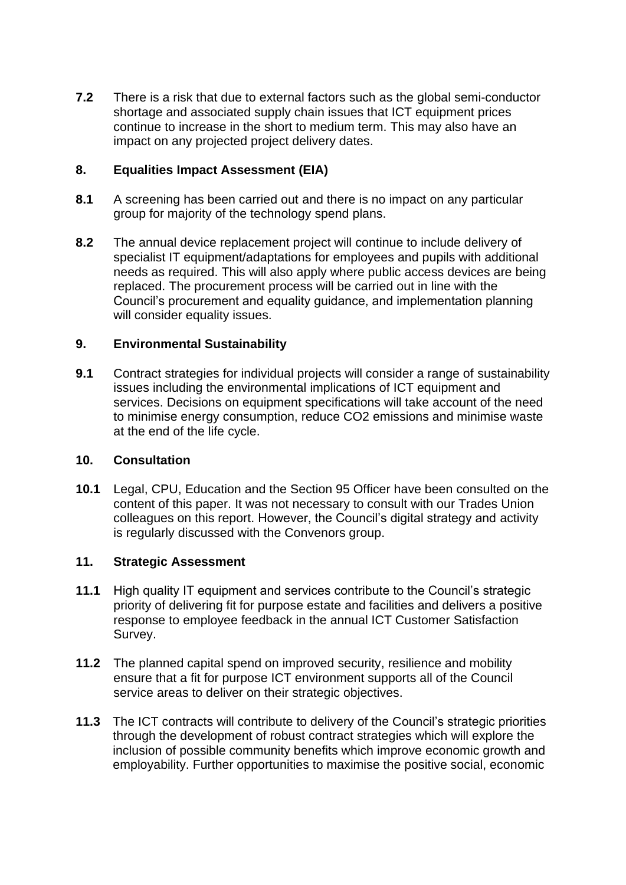**7.2** There is a risk that due to external factors such as the global semi-conductor shortage and associated supply chain issues that ICT equipment prices continue to increase in the short to medium term. This may also have an impact on any projected project delivery dates.

## **8. Equalities Impact Assessment (EIA)**

- **8.1** A screening has been carried out and there is no impact on any particular group for majority of the technology spend plans.
- **8.2** The annual device replacement project will continue to include delivery of specialist IT equipment/adaptations for employees and pupils with additional needs as required. This will also apply where public access devices are being replaced. The procurement process will be carried out in line with the Council's procurement and equality guidance, and implementation planning will consider equality issues.

### **9. Environmental Sustainability**

**9.1** Contract strategies for individual projects will consider a range of sustainability issues including the environmental implications of ICT equipment and services. Decisions on equipment specifications will take account of the need to minimise energy consumption, reduce CO2 emissions and minimise waste at the end of the life cycle.

## **10. Consultation**

**10.1** Legal, CPU, Education and the Section 95 Officer have been consulted on the content of this paper. It was not necessary to consult with our Trades Union colleagues on this report. However, the Council's digital strategy and activity is regularly discussed with the Convenors group.

### **11. Strategic Assessment**

- **11.1** High quality IT equipment and services contribute to the Council's strategic priority of delivering fit for purpose estate and facilities and delivers a positive response to employee feedback in the annual ICT Customer Satisfaction Survey.
- **11.2** The planned capital spend on improved security, resilience and mobility ensure that a fit for purpose ICT environment supports all of the Council service areas to deliver on their strategic objectives.
- **11.3** The ICT contracts will contribute to delivery of the Council's strategic priorities through the development of robust contract strategies which will explore the inclusion of possible community benefits which improve economic growth and employability. Further opportunities to maximise the positive social, economic